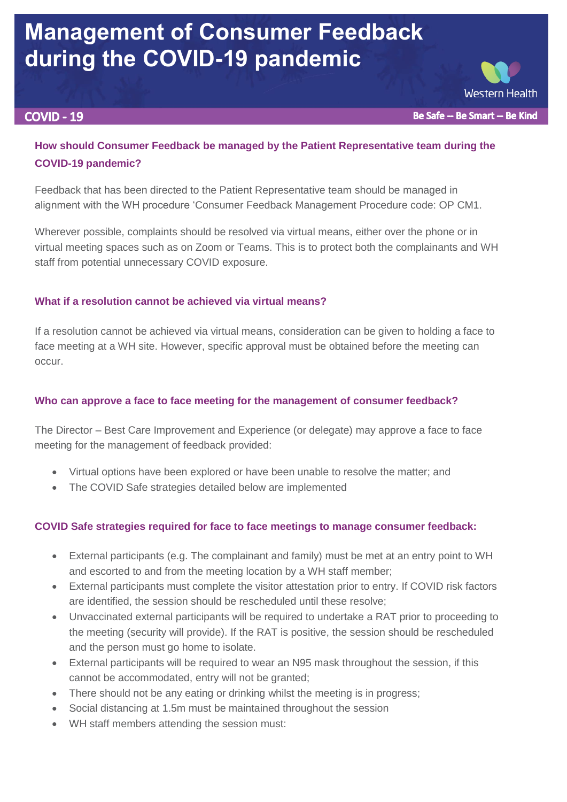# **Management of Consumer Feedback during the COVID-19 pandemic**

#### **COVID - 19**

Be Safe -- Be Smart -- Be Kind

**Western Health** 

# **How should Consumer Feedback be managed by the Patient Representative team during the COVID-19 pandemic?**

Feedback that has been directed to the Patient Representative team should be managed in alignment with the WH procedure 'Consumer Feedback Management Procedure code: OP CM1.

Wherever possible, complaints should be resolved via virtual means, either over the phone or in virtual meeting spaces such as on Zoom or Teams. This is to protect both the complainants and WH staff from potential unnecessary COVID exposure.

#### **What if a resolution cannot be achieved via virtual means?**

If a resolution cannot be achieved via virtual means, consideration can be given to holding a face to face meeting at a WH site. However, specific approval must be obtained before the meeting can occur.

## **Who can approve a face to face meeting for the management of consumer feedback?**

The Director – Best Care Improvement and Experience (or delegate) may approve a face to face meeting for the management of feedback provided:

- Virtual options have been explored or have been unable to resolve the matter; and
- The COVID Safe strategies detailed below are implemented

## **COVID Safe strategies required for face to face meetings to manage consumer feedback:**

- External participants (e.g. The complainant and family) must be met at an entry point to WH and escorted to and from the meeting location by a WH staff member;
- External participants must complete the visitor attestation prior to entry. If COVID risk factors are identified, the session should be rescheduled until these resolve;
- Unvaccinated external participants will be required to undertake a RAT prior to proceeding to the meeting (security will provide). If the RAT is positive, the session should be rescheduled and the person must go home to isolate.
- External participants will be required to wear an N95 mask throughout the session, if this cannot be accommodated, entry will not be granted;
- There should not be any eating or drinking whilst the meeting is in progress;
- Social distancing at 1.5m must be maintained throughout the session
- WH staff members attending the session must: